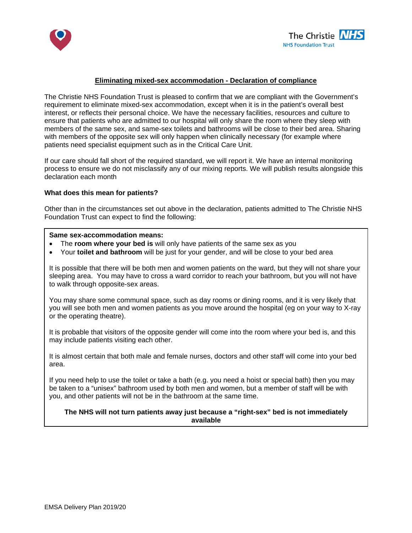



# **Eliminating mixed-sex accommodation - Declaration of compliance**

The Christie NHS Foundation Trust is pleased to confirm that we are compliant with the Government's requirement to eliminate mixed-sex accommodation, except when it is in the patient's overall best interest, or reflects their personal choice. We have the necessary facilities, resources and culture to ensure that patients who are admitted to our hospital will only share the room where they sleep with members of the same sex, and same-sex toilets and bathrooms will be close to their bed area. Sharing with members of the opposite sex will only happen when clinically necessary (for example where patients need specialist equipment such as in the Critical Care Unit.

If our care should fall short of the required standard, we will report it. We have an internal monitoring process to ensure we do not misclassify any of our mixing reports. We will publish results alongside this declaration each month

### **What does this mean for patients?**

Other than in the circumstances set out above in the declaration, patients admitted to The Christie NHS Foundation Trust can expect to find the following:

### **Same sex-accommodation means:**

- The **room where your bed is** will only have patients of the same sex as you
- Your **toilet and bathroom** will be just for your gender, and will be close to your bed area

It is possible that there will be both men and women patients on the ward, but they will not share your sleeping area. You may have to cross a ward corridor to reach your bathroom, but you will not have to walk through opposite-sex areas.

You may share some communal space, such as day rooms or dining rooms, and it is very likely that you will see both men and women patients as you move around the hospital (eg on your way to X-ray or the operating theatre).

It is probable that visitors of the opposite gender will come into the room where your bed is, and this may include patients visiting each other.

It is almost certain that both male and female nurses, doctors and other staff will come into your bed area.

If you need help to use the toilet or take a bath (e.g. you need a hoist or special bath) then you may be taken to a "unisex" bathroom used by both men and women, but a member of staff will be with you, and other patients will not be in the bathroom at the same time.

# **The NHS will not turn patients away just because a "right-sex" bed is not immediately available**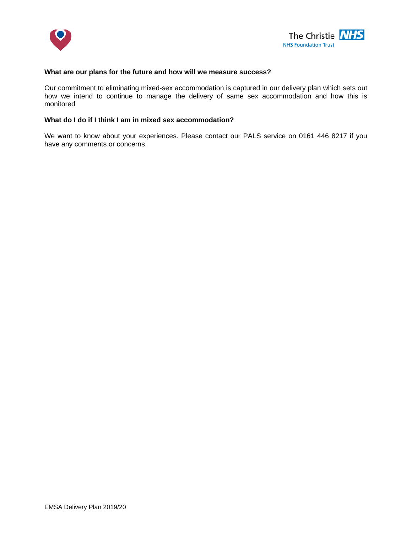



### **What are our plans for the future and how will we measure success?**

Our commitment to eliminating mixed-sex accommodation is captured in our delivery plan which sets out how we intend to continue to manage the delivery of same sex accommodation and how this is monitored

## **What do I do if I think I am in mixed sex accommodation?**

We want to know about your experiences. Please contact our PALS service on 0161 446 8217 if you have any comments or concerns.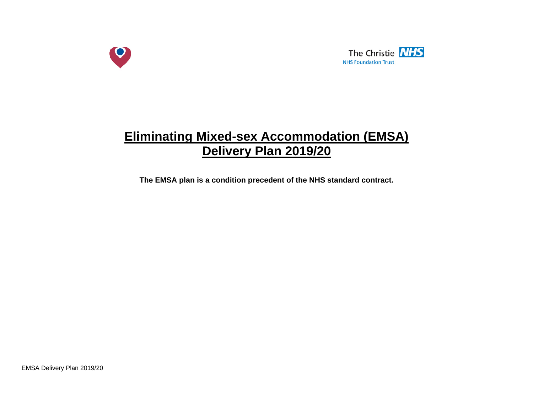



# **Eliminating Mixed-sex Accommodation (EMSA) Delivery Plan 2019/20**

**The EMSA plan is a condition precedent of the NHS standard contract.**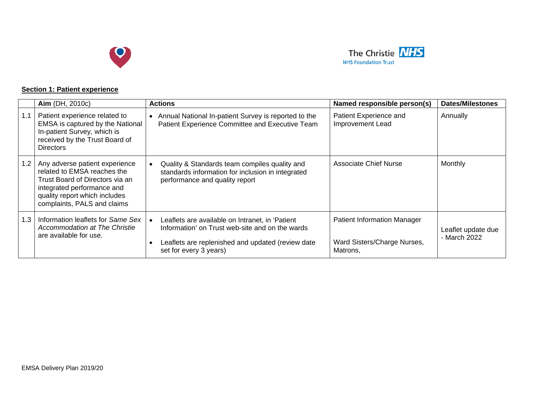



# **Section 1: Patient experience**

|     | Aim (DH, 2010c)                                                                                                                                                                                | <b>Actions</b>                                                                                                                                                                                 | Named responsible person(s)                                                   | <b>Dates/Milestones</b>            |
|-----|------------------------------------------------------------------------------------------------------------------------------------------------------------------------------------------------|------------------------------------------------------------------------------------------------------------------------------------------------------------------------------------------------|-------------------------------------------------------------------------------|------------------------------------|
| 1.1 | Patient experience related to<br>EMSA is captured by the National<br>In-patient Survey, which is<br>received by the Trust Board of<br><b>Directors</b>                                         | Annual National In-patient Survey is reported to the<br>$\bullet$<br>Patient Experience Committee and Executive Team                                                                           | Patient Experience and<br>Improvement Lead                                    | Annually                           |
| 1.2 | Any adverse patient experience<br>related to EMSA reaches the<br>Trust Board of Directors via an<br>integrated performance and<br>quality report which includes<br>complaints, PALS and claims | Quality & Standards team compiles quality and<br>standards information for inclusion in integrated<br>performance and quality report                                                           | Associate Chief Nurse                                                         | Monthly                            |
| 1.3 | Information leaflets for Same Sex<br>Accommodation at The Christie<br>are available for use.                                                                                                   | Leaflets are available on Intranet, in 'Patient<br>$\bullet$<br>Information' on Trust web-site and on the wards<br>Leaflets are replenished and updated (review date<br>set for every 3 years) | <b>Patient Information Manager</b><br>Ward Sisters/Charge Nurses,<br>Matrons, | Leaflet update due<br>- March 2022 |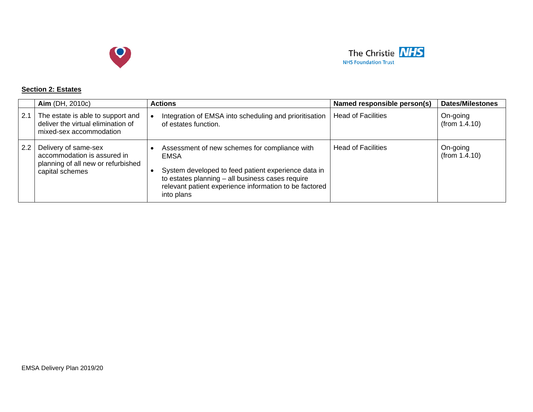



### **Section 2: Estates**

|     | Aim (DH, 2010c)                                                                                              | <b>Actions</b>                                                                                                                                                                                                                           | Named responsible person(s) | <b>Dates/Milestones</b>   |
|-----|--------------------------------------------------------------------------------------------------------------|------------------------------------------------------------------------------------------------------------------------------------------------------------------------------------------------------------------------------------------|-----------------------------|---------------------------|
| 2.1 | The estate is able to support and<br>deliver the virtual elimination of<br>mixed-sex accommodation           | Integration of EMSA into scheduling and prioritisation<br>of estates function.                                                                                                                                                           | <b>Head of Facilities</b>   | On-going<br>(from 1.4.10) |
| 2.2 | Delivery of same-sex<br>accommodation is assured in<br>planning of all new or refurbished<br>capital schemes | Assessment of new schemes for compliance with<br>EMSA<br>System developed to feed patient experience data in<br>to estates planning - all business cases require<br>relevant patient experience information to be factored<br>into plans | <b>Head of Facilities</b>   | On-going<br>(from 1.4.10) |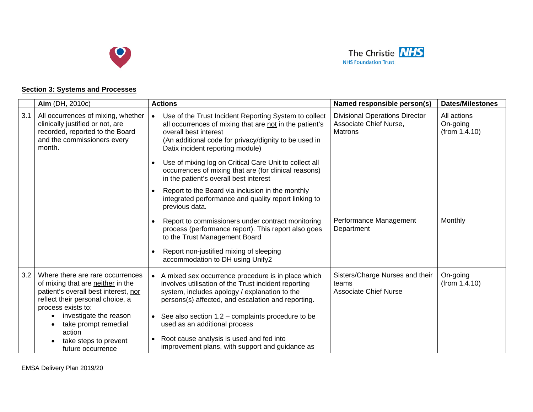



# **Section 3: Systems and Processes**

|     | <b>Aim</b> (DH, 2010c)                                                                                                                                                  | <b>Actions</b>                                                                                                                                                                                                                                      | Named responsible person(s)                                                       | <b>Dates/Milestones</b>                  |
|-----|-------------------------------------------------------------------------------------------------------------------------------------------------------------------------|-----------------------------------------------------------------------------------------------------------------------------------------------------------------------------------------------------------------------------------------------------|-----------------------------------------------------------------------------------|------------------------------------------|
| 3.1 | All occurrences of mixing, whether<br>clinically justified or not, are<br>recorded, reported to the Board<br>and the commissioners every<br>month.                      | Use of the Trust Incident Reporting System to collect<br>$\bullet$<br>all occurrences of mixing that are not in the patient's<br>overall best interest<br>(An additional code for privacy/dignity to be used in<br>Datix incident reporting module) | <b>Divisional Operations Director</b><br>Associate Chief Nurse,<br><b>Matrons</b> | All actions<br>On-going<br>(from 1.4.10) |
|     |                                                                                                                                                                         | Use of mixing log on Critical Care Unit to collect all<br>$\bullet$<br>occurrences of mixing that are (for clinical reasons)<br>in the patient's overall best interest                                                                              |                                                                                   |                                          |
|     |                                                                                                                                                                         | Report to the Board via inclusion in the monthly<br>$\bullet$<br>integrated performance and quality report linking to<br>previous data.                                                                                                             |                                                                                   |                                          |
|     |                                                                                                                                                                         | Report to commissioners under contract monitoring<br>$\bullet$<br>process (performance report). This report also goes<br>to the Trust Management Board                                                                                              | Performance Management<br>Department                                              | Monthly                                  |
|     |                                                                                                                                                                         | Report non-justified mixing of sleeping<br>$\bullet$<br>accommodation to DH using Unify2                                                                                                                                                            |                                                                                   |                                          |
| 3.2 | Where there are rare occurrences<br>of mixing that are neither in the<br>patient's overall best interest, nor<br>reflect their personal choice, a<br>process exists to: | A mixed sex occurrence procedure is in place which<br>$\bullet$<br>involves utilisation of the Trust incident reporting<br>system, includes apology / explanation to the<br>persons(s) affected, and escalation and reporting.                      | Sisters/Charge Nurses and their<br>teams<br><b>Associate Chief Nurse</b>          | On-going<br>(from 1.4.10)                |
|     | investigate the reason<br>take prompt remedial<br>action                                                                                                                | See also section 1.2 - complaints procedure to be<br>$\bullet$<br>used as an additional process                                                                                                                                                     |                                                                                   |                                          |
|     | take steps to prevent<br>future occurrence                                                                                                                              | Root cause analysis is used and fed into<br>$\bullet$<br>improvement plans, with support and guidance as                                                                                                                                            |                                                                                   |                                          |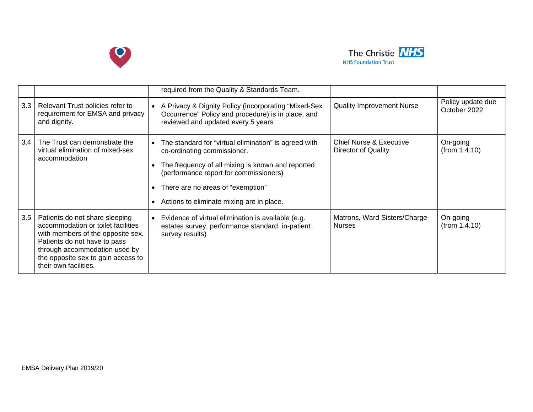



|     |                                                                                                                                                                                                                                           | required from the Quality & Standards Team.                                                                                                                                                                                                                           |                                                           |                                   |
|-----|-------------------------------------------------------------------------------------------------------------------------------------------------------------------------------------------------------------------------------------------|-----------------------------------------------------------------------------------------------------------------------------------------------------------------------------------------------------------------------------------------------------------------------|-----------------------------------------------------------|-----------------------------------|
| 3.3 | Relevant Trust policies refer to<br>requirement for EMSA and privacy<br>and dignity.                                                                                                                                                      | A Privacy & Dignity Policy (incorporating "Mixed-Sex<br>Occurrence" Policy and procedure) is in place, and<br>reviewed and updated every 5 years                                                                                                                      | <b>Quality Improvement Nurse</b>                          | Policy update due<br>October 2022 |
| 3.4 | The Trust can demonstrate the<br>virtual elimination of mixed-sex<br>accommodation                                                                                                                                                        | The standard for "virtual elimination" is agreed with<br>co-ordinating commissioner.<br>The frequency of all mixing is known and reported<br>(performance report for commissioners)<br>There are no areas of "exemption"<br>Actions to eliminate mixing are in place. | <b>Chief Nurse &amp; Executive</b><br>Director of Quality | On-going<br>(from 1.4.10)         |
| 3.5 | Patients do not share sleeping<br>accommodation or toilet facilities<br>with members of the opposite sex.<br>Patients do not have to pass<br>through accommodation used by<br>the opposite sex to gain access to<br>their own facilities. | Evidence of virtual elimination is available (e.g.<br>estates survey, performance standard, in-patient<br>survey results)                                                                                                                                             | Matrons, Ward Sisters/Charge<br><b>Nurses</b>             | On-going<br>(from 1.4.10)         |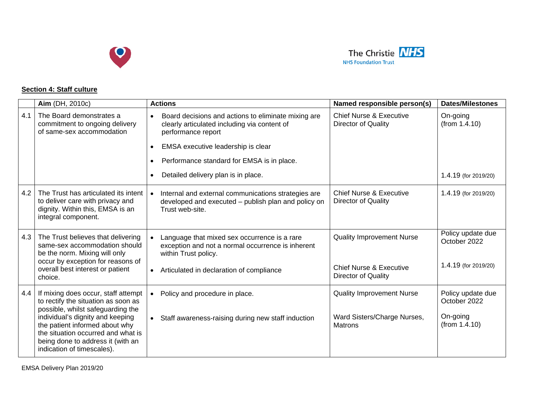



# **Section 4: Staff culture**

|     | Aim (DH, 2010c)                                                                                                                                                                                                                                                                                | <b>Actions</b>                                                                                                                                                                                                                                                                              | Named responsible person(s)                                                                   | <b>Dates/Milestones</b>                                        |
|-----|------------------------------------------------------------------------------------------------------------------------------------------------------------------------------------------------------------------------------------------------------------------------------------------------|---------------------------------------------------------------------------------------------------------------------------------------------------------------------------------------------------------------------------------------------------------------------------------------------|-----------------------------------------------------------------------------------------------|----------------------------------------------------------------|
| 4.1 | The Board demonstrates a<br>commitment to ongoing delivery<br>of same-sex accommodation                                                                                                                                                                                                        | Board decisions and actions to eliminate mixing are<br>clearly articulated including via content of<br>performance report<br>EMSA executive leadership is clear<br>$\bullet$<br>Performance standard for EMSA is in place.<br>$\bullet$<br>Detailed delivery plan is in place.<br>$\bullet$ | <b>Chief Nurse &amp; Executive</b><br><b>Director of Quality</b>                              | On-going<br>(from 1.4.10)<br>1.4.19 (for 2019/20)              |
| 4.2 | The Trust has articulated its intent<br>to deliver care with privacy and<br>dignity. Within this, EMSA is an<br>integral component.                                                                                                                                                            | Internal and external communications strategies are<br>$\bullet$<br>developed and executed - publish plan and policy on<br>Trust web-site.                                                                                                                                                  | <b>Chief Nurse &amp; Executive</b><br><b>Director of Quality</b>                              | 1.4.19 (for 2019/20)                                           |
| 4.3 | The Trust believes that delivering<br>same-sex accommodation should<br>be the norm. Mixing will only<br>occur by exception for reasons of<br>overall best interest or patient<br>choice.                                                                                                       | Language that mixed sex occurrence is a rare<br>exception and not a normal occurrence is inherent<br>within Trust policy.<br>Articulated in declaration of compliance<br>$\bullet$                                                                                                          | <b>Quality Improvement Nurse</b><br><b>Chief Nurse &amp; Executive</b><br>Director of Quality | Policy update due<br>October 2022<br>1.4.19 (for 2019/20)      |
| 4.4 | If mixing does occur, staff attempt<br>to rectify the situation as soon as<br>possible, whilst safeguarding the<br>individual's dignity and keeping<br>the patient informed about why<br>the situation occurred and what is<br>being done to address it (with an<br>indication of timescales). | Policy and procedure in place.<br>$\bullet$<br>Staff awareness-raising during new staff induction<br>$\bullet$                                                                                                                                                                              | <b>Quality Improvement Nurse</b><br>Ward Sisters/Charge Nurses,<br>Matrons                    | Policy update due<br>October 2022<br>On-going<br>(from 1.4.10) |